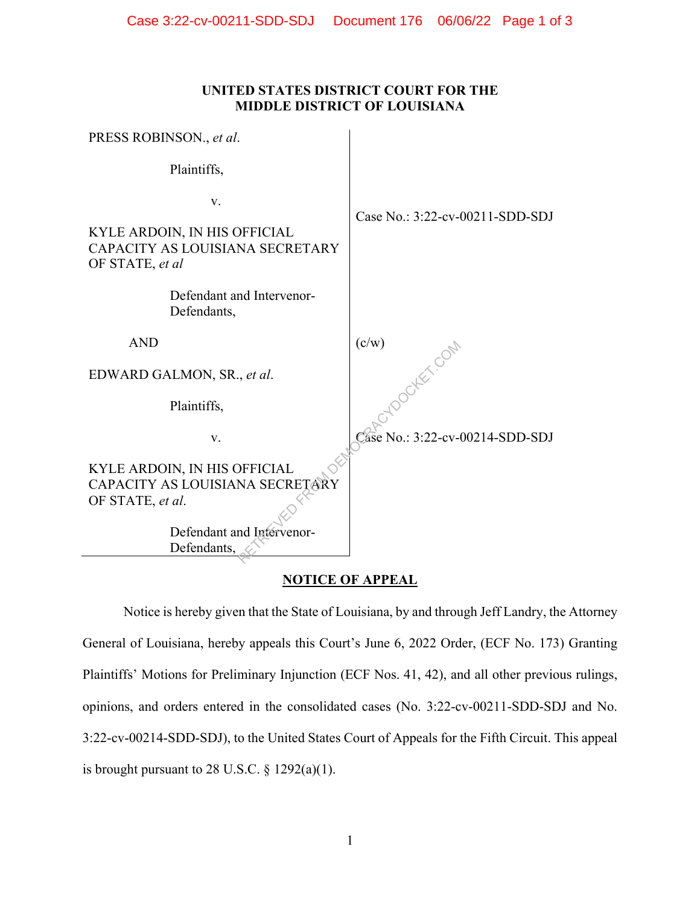## **UNITED STATES DISTRICT COURT FOR THE MIDDLE DISTRICT OF LOUISIANA**

| PRESS ROBINSON., et al.                                                                                                         |                                 |
|---------------------------------------------------------------------------------------------------------------------------------|---------------------------------|
| Plaintiffs,                                                                                                                     |                                 |
| V.<br>KYLE ARDOIN, IN HIS OFFICIAL<br>CAPACITY AS LOUISIANA SECRETARY<br>OF STATE, et al                                        | Case No.: 3:22-cv-00211-SDD-SDJ |
| Defendant and Intervenor-<br>Defendants,                                                                                        |                                 |
| <b>AND</b>                                                                                                                      | (c/w)                           |
| EDWARD GALMON, SR., et al.                                                                                                      |                                 |
| Plaintiffs,                                                                                                                     |                                 |
| V.                                                                                                                              | Case No.: 3:22-cv-00214-SDD-SDJ |
| KYLE ARDOIN, IN HIS OFFICIAL<br>CAPACITY AS LOUISIANA SECRETARY<br>OF STATE, et al.<br>Defendant and Intervenor-<br>Defendants, |                                 |

## **NOTICE OF APPEAL**

Notice is hereby given that the State of Louisiana, by and through Jeff Landry, the Attorney General of Louisiana, hereby appeals this Court's June 6, 2022 Order, (ECF No. 173) Granting Plaintiffs' Motions for Preliminary Injunction (ECF Nos. 41, 42), and all other previous rulings, opinions, and orders entered in the consolidated cases (No. 3:22-cv-00211-SDD-SDJ and No. 3:22-cv-00214-SDD-SDJ), to the United States Court of Appeals for the Fifth Circuit. This appeal is brought pursuant to 28 U.S.C.  $\S$  1292(a)(1).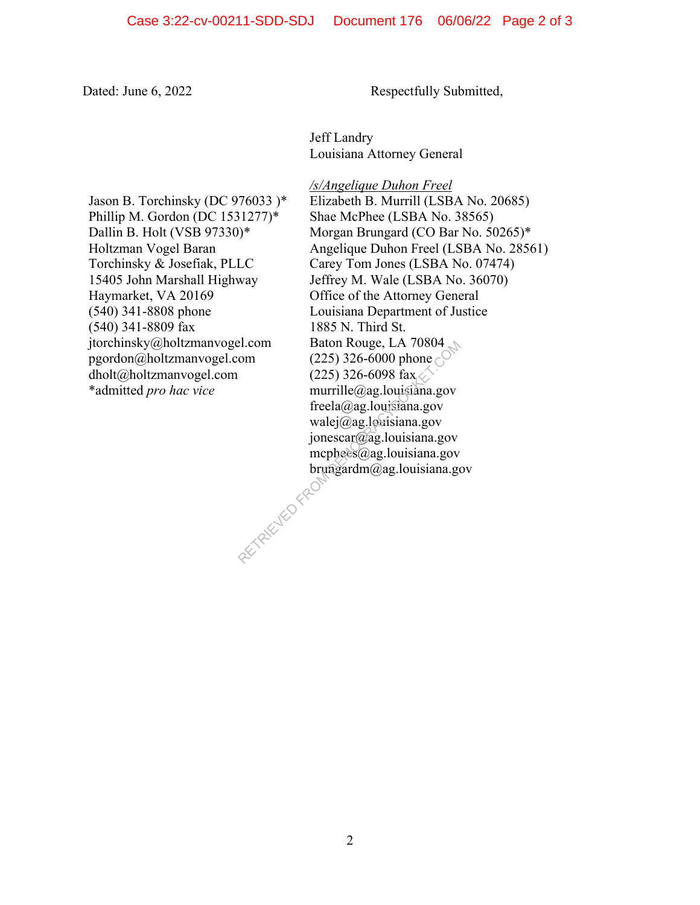Dated: June 6, 2022 Respectfully Submitted,

Jeff Landry Louisiana Attorney General

Jason B. Torchinsky (DC 976033 )\* Phillip M. Gordon (DC 1531277)\* Dallin B. Holt (VSB 97330)\* Holtzman Vogel Baran Torchinsky & Josefiak, PLLC 15405 John Marshall Highway Haymarket, VA 20169 (540) 341-8808 phone (540) 341-8809 fax jtorchinsky@holtzmanvogel.com pgordon@holtzmanvogel.com dholt@holtzmanvogel.com \*admitted *pro hac vice*

*/s/Angelique Duhon Freel* Elizabeth B. Murrill (LSBA No. 20685) Shae McPhee (LSBA No. 38565) Morgan Brungard (CO Bar No. 50265)\* Angelique Duhon Freel (LSBA No. 28561) Carey Tom Jones (LSBA No. 07474) Jeffrey M. Wale (LSBA No. 36070) Office of the Attorney General Louisiana Department of Justice 1885 N. Third St. Baton Rouge, LA 70804 (225) 326-6000 phone  $\binom{6}{5}$ (225) 326-6098 fax. murrille@ag.louisiana.gov freela@ag.louisiana.gov walej@ag.louisiana.gov jonescar@ag.louisiana.gov mcphees@ag.louisiana.gov brungardm@ag.louisiana.gov **RETRIEVED FROM DE** 

2